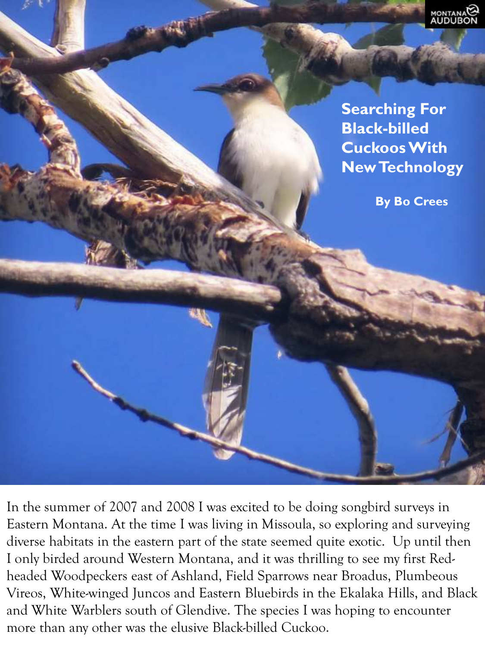

**Searching For Black-billed Cuckoos With New Technology**

**By Bo Crees**

In the summer of 2007 and 2008 I was excited to be doing songbird surveys in Eastern Montana. At the time I was living in Missoula, so exploring and surveying diverse habitats in the eastern part of the state seemed quite exotic. Up until then I only birded around Western Montana, and it was thrilling to see my first Redheaded Woodpeckers east of Ashland, Field Sparrows near Broadus, Plumbeous Vireos, White-winged Juncos and Eastern Bluebirds in the Ekalaka Hills, and Black and White Warblers south of Glendive. The species I was hoping to encounter more than any other was the elusive Black-billed Cuckoo.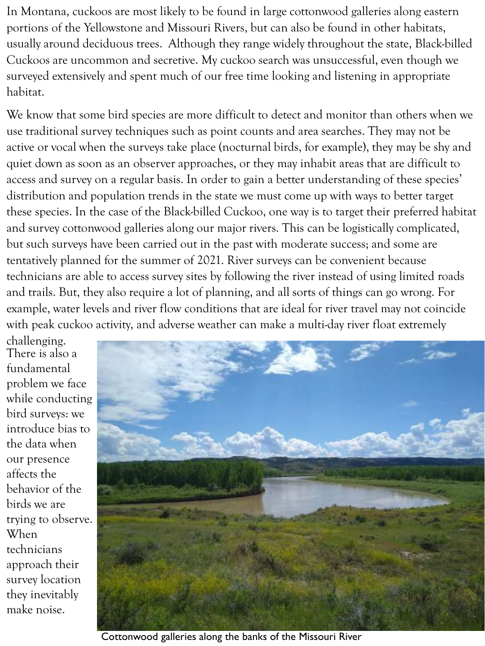In Montana, cuckoos are most likely to be found in large cottonwood galleries along eastern portions of the Yellowstone and Missouri Rivers, but can also be found in other habitats, usually around deciduous trees. Although they range widely throughout the state, Black-billed Cuckoos are uncommon and secretive. My cuckoo search was unsuccessful, even though we surveyed extensively and spent much of our free time looking and listening in appropriate habitat.

We know that some bird species are more difficult to detect and monitor than others when we use traditional survey techniques such as point counts and area searches. They may not be active or vocal when the surveys take place (nocturnal birds, for example), they may be shy and quiet down as soon as an observer approaches, or they may inhabit areas that are difficult to access and survey on a regular basis. In order to gain a better understanding of these species' distribution and population trends in the state we must come up with ways to better target these species. In the case of the Black-billed Cuckoo, one way is to target their preferred habitat and survey cottonwood galleries along our major rivers. This can be logistically complicated, but such surveys have been carried out in the past with moderate success; and some are tentatively planned for the summer of 2021. River surveys can be convenient because technicians are able to access survey sites by following the river instead of using limited roads and trails. But, they also require a lot of planning, and all sorts of things can go wrong. For example, water levels and river flow conditions that are ideal for river travel may not coincide with peak cuckoo activity, and adverse weather can make a multi-day river float extremely

challenging. There is also a fundamental problem we face while conducting bird surveys: we introduce bias to the data when our presence affects the behavior of the birds we are trying to observe. When technicians approach their survey location they inevitably make noise.



Cottonwood galleries along the banks of the Missouri River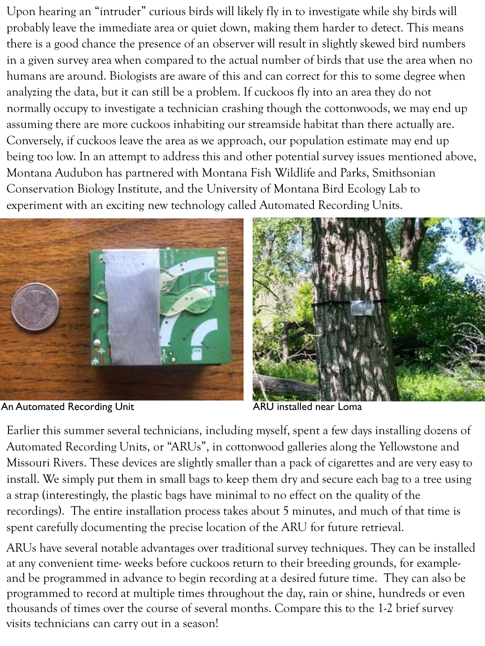Upon hearing an "intruder" curious birds will likely fly in to investigate while shy birds will probably leave the immediate area or quiet down, making them harder to detect. This means there is a good chance the presence of an observer will result in slightly skewed bird numbers in a given survey area when compared to the actual number of birds that use the area when no humans are around. Biologists are aware of this and can correct for this to some degree when analyzing the data, but it can still be a problem. If cuckoos fly into an area they do not normally occupy to investigate a technician crashing though the cottonwoods, we may end up assuming there are more cuckoos inhabiting our streamside habitat than there actually are. Conversely, if cuckoos leave the area as we approach, our population estimate may end up being too low. In an attempt to address this and other potential survey issues mentioned above, Montana Audubon has partnered with Montana Fish Wildlife and Parks, Smithsonian Conservation Biology Institute, and the University of Montana Bird Ecology Lab to experiment with an exciting new technology called Automated Recording Units.



An Automated Recording Unit **ARU** installed near Loma



Earlier this summer several technicians, including myself, spent a few days installing dozens of Automated Recording Units, or "ARUs", in cottonwood galleries along the Yellowstone and Missouri Rivers. These devices are slightly smaller than a pack of cigarettes and are very easy to install. We simply put them in small bags to keep them dry and secure each bag to a tree using a strap (interestingly, the plastic bags have minimal to no effect on the quality of the recordings). The entire installation process takes about 5 minutes, and much of that time is spent carefully documenting the precise location of the ARU for future retrieval.

ARUs have several notable advantages over traditional survey techniques. They can be installed at any convenient time- weeks before cuckoos return to their breeding grounds, for exampleand be programmed in advance to begin recording at a desired future time. They can also be programmed to record at multiple times throughout the day, rain or shine, hundreds or even thousands of times over the course of several months. Compare this to the 1-2 brief survey visits technicians can carry out in a season!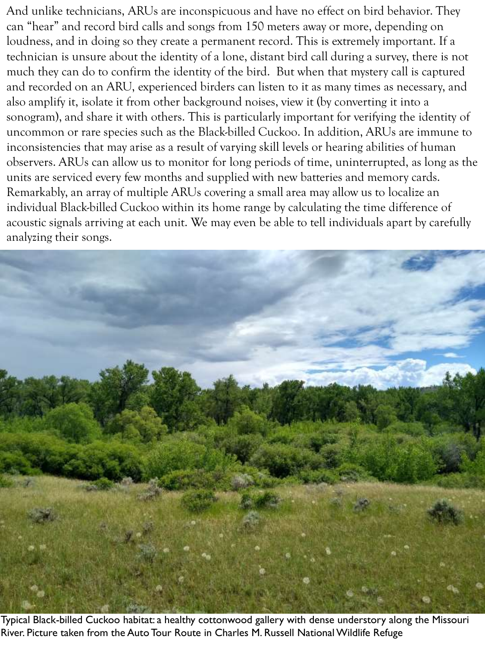And unlike technicians, ARUs are inconspicuous and have no effect on bird behavior. They can "hear" and record bird calls and songs from 150 meters away or more, depending on loudness, and in doing so they create a permanent record. This is extremely important. If a technician is unsure about the identity of a lone, distant bird call during a survey, there is not much they can do to confirm the identity of the bird. But when that mystery call is captured and recorded on an ARU, experienced birders can listen to it as many times as necessary, and also amplify it, isolate it from other background noises, view it (by converting it into a sonogram), and share it with others. This is particularly important for verifying the identity of uncommon or rare species such as the Black-billed Cuckoo. In addition, ARUs are immune to inconsistencies that may arise as a result of varying skill levels or hearing abilities of human observers. ARUs can allow us to monitor for long periods of time, uninterrupted, as long as the units are serviced every few months and supplied with new batteries and memory cards. Remarkably, an array of multiple ARUs covering a small area may allow us to localize an individual Black-billed Cuckoo within its home range by calculating the time difference of acoustic signals arriving at each unit. We may even be able to tell individuals apart by carefully analyzing their songs.



Typical Black-billed Cuckoo habitat: a healthy cottonwood gallery with dense understory along the Missouri River. Picture taken from the Auto Tour Route in Charles M. Russell National Wildlife Refuge